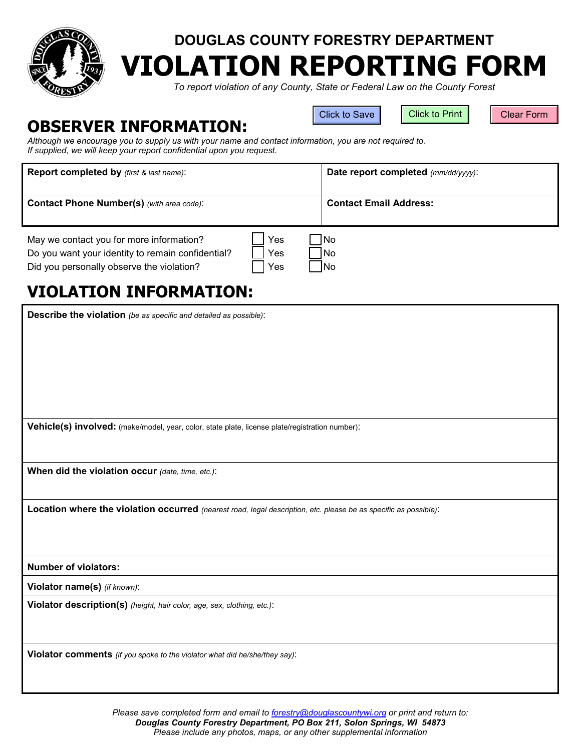

## **DOUGLAS COUNTY FORESTRY DEPARTMENT VIOLATION REPORTING FORM**

*To report violation of any County, State or Federal Law on the County Forest*

## **OBSERVER INFORMATION:**

Click to Save | Click to Print | Clear Form

*Although we encourage you to supply us with your name and contact information, you are not required to. If supplied, we will keep your report confidential upon you request.*

| <b>Report completed by</b> <i>(first &amp; last name)</i> :                                                                                |                   | Date report completed (mm/dd/yyyy): |
|--------------------------------------------------------------------------------------------------------------------------------------------|-------------------|-------------------------------------|
| <b>Contact Phone Number(s)</b> (with area code):                                                                                           |                   | <b>Contact Email Address:</b>       |
| May we contact you for more information?<br>Do you want your identity to remain confidential?<br>Did you personally observe the violation? | Yes<br>Yes<br>Yes | l No<br>1No<br><b>INo</b>           |

## **VIOLATION INFORMATION:**

**Describe the violation** *(be as specific and detailed as possible)*:

**Vehicle(s) involved:** (make/model, year, color, state plate, license plate/registration number):

**When did the violation occur** *(date, time, etc.)*:

**Location where the violation occurred** *(nearest road, legal description, etc. please be as specific as possible)*:

**Number of violators:**

**Violator name(s)** *(if known)*:

**Violator description(s)** *(height, hair color, age, sex, clothing, etc.)*:

**Violator comments** *(if you spoke to the violator what did he/she/they say)*: